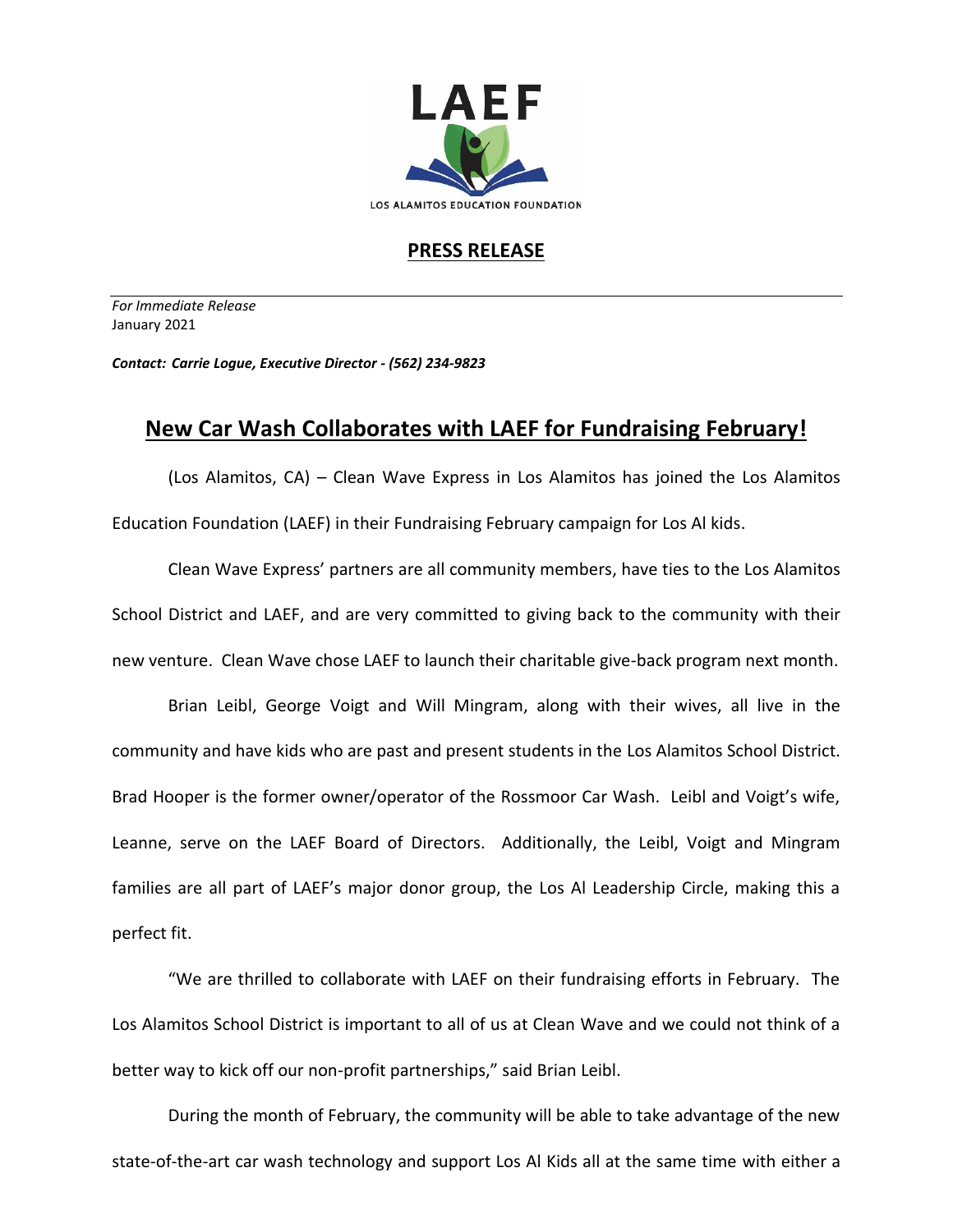

## **PRESS RELEASE**

*For Immediate Release*  January 2021

*Contact: Carrie Logue, Executive Director - (562) 234-9823*

## **New Car Wash Collaborates with LAEF for Fundraising February!**

(Los Alamitos, CA) – Clean Wave Express in Los Alamitos has joined the Los Alamitos Education Foundation (LAEF) in their Fundraising February campaign for Los Al kids.

Clean Wave Express' partners are all community members, have ties to the Los Alamitos School District and LAEF, and are very committed to giving back to the community with their new venture. Clean Wave chose LAEF to launch their charitable give-back program next month.

Brian Leibl, George Voigt and Will Mingram, along with their wives, all live in the community and have kids who are past and present students in the Los Alamitos School District. Brad Hooper is the former owner/operator of the Rossmoor Car Wash. Leibl and Voigt's wife, Leanne, serve on the LAEF Board of Directors. Additionally, the Leibl, Voigt and Mingram families are all part of LAEF's major donor group, the Los Al Leadership Circle, making this a perfect fit.

"We are thrilled to collaborate with LAEF on their fundraising efforts in February. The Los Alamitos School District is important to all of us at Clean Wave and we could not think of a better way to kick off our non-profit partnerships," said Brian Leibl.

During the month of February, the community will be able to take advantage of the new state-of-the-art car wash technology and support Los Al Kids all at the same time with either a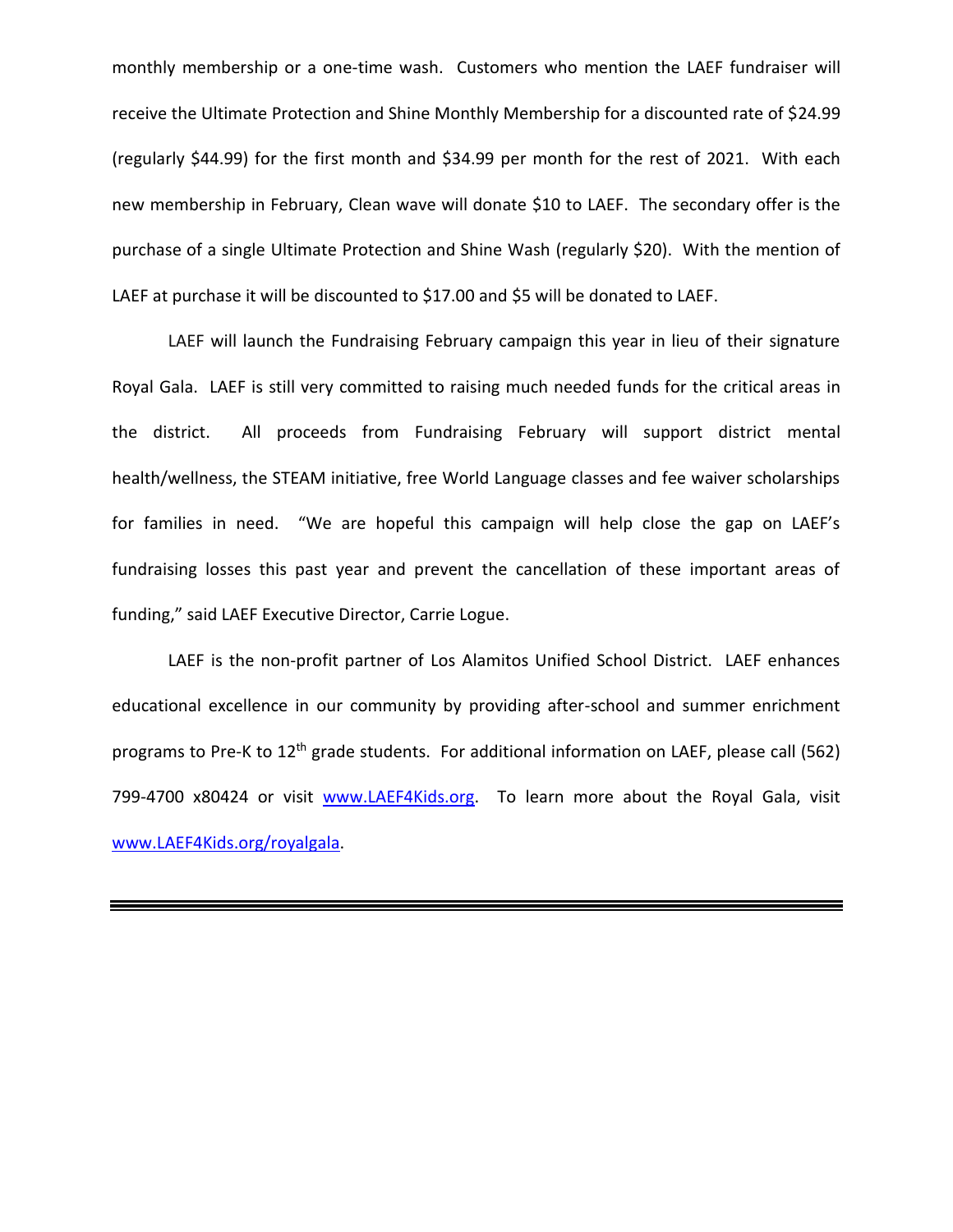monthly membership or a one-time wash. Customers who mention the LAEF fundraiser will receive the Ultimate Protection and Shine Monthly Membership for a discounted rate of \$24.99 (regularly \$44.99) for the first month and \$34.99 per month for the rest of 2021. With each new membership in February, Clean wave will donate \$10 to LAEF. The secondary offer is the purchase of a single Ultimate Protection and Shine Wash (regularly \$20). With the mention of LAEF at purchase it will be discounted to \$17.00 and \$5 will be donated to LAEF.

LAEF will launch the Fundraising February campaign this year in lieu of their signature Royal Gala. LAEF is still very committed to raising much needed funds for the critical areas in the district. All proceeds from Fundraising February will support district mental health/wellness, the STEAM initiative, free World Language classes and fee waiver scholarships for families in need. "We are hopeful this campaign will help close the gap on LAEF's fundraising losses this past year and prevent the cancellation of these important areas of funding," said LAEF Executive Director, Carrie Logue.

LAEF is the non-profit partner of Los Alamitos Unified School District. LAEF enhances educational excellence in our community by providing after-school and summer enrichment programs to Pre-K to 12<sup>th</sup> grade students. For additional information on LAEF, please call (562) 799-4700 x80424 or visit [www.LAEF4Kids.org.](http://www.laef4kids.org/) To learn more about the Royal Gala, visit [www.LAEF4Kids.org/royalg](http://www.laef4kids.org/royal)ala.